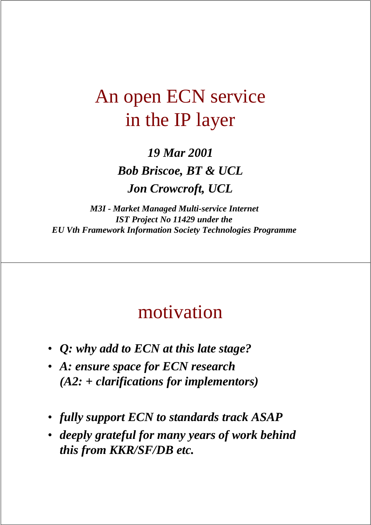### An open ECN service in the IP layer

*19 Mar 2001 Bob Briscoe, BT & UCL Jon Crowcroft, UCL*

*M3I - Market Managed Multi-service Internet IST Project No 11429 under the EU Vth Framework Information Society Technologies Programme*

### motivation

- *Q: why add to ECN at this late stage?*
- *A: ensure space for ECN research (A2: + clarifications for implementors)*
- *fully support ECN to standards track ASAP*
- *deeply grateful for many years of work behind this from KKR/SF/DB etc.*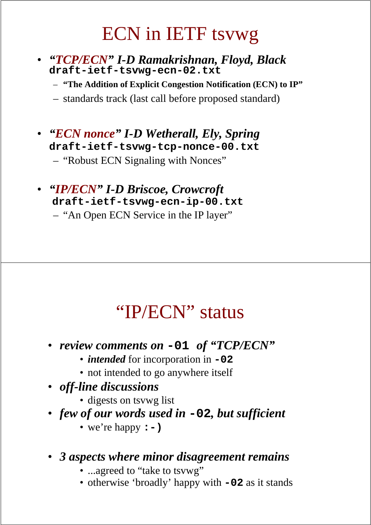### ECN in IETF tsvwg

- *"TCP/ECN" I-D Ramakrishnan, Floyd, Black* **draft-ietf-tsvwg-ecn-02.txt**
	- **"The Addition of Explicit Congestion Notification (ECN) to IP"**

– standards track (last call before proposed standard)

• *"ECN nonce" I-D Wetherall, Ely, Spring* **draft-ietf-tsvwg-tcp-nonce-00.txt**

– "Robust ECN Signaling with Nonces"

#### • *"IP/ECN" I-D Briscoe, Crowcroft* **draft-ietf-tsvwg-ecn-ip-00.txt**

– "An Open ECN Service in the IP layer"

### "IP/ECN" status

- *review comments on* **-01** *of "TCP/ECN"*
	- *intended* for incorporation in **-02**
	- not intended to go anywhere itself
- *off-line discussions*
	- digests on tsvwg list
- *few of our words used in* **-02***, but sufficient*
	- we're happy **:-)**

#### • *3 aspects where minor disagreement remains*

- ...agreed to "take to tsvwg"
- otherwise 'broadly' happy with **-02** as it stands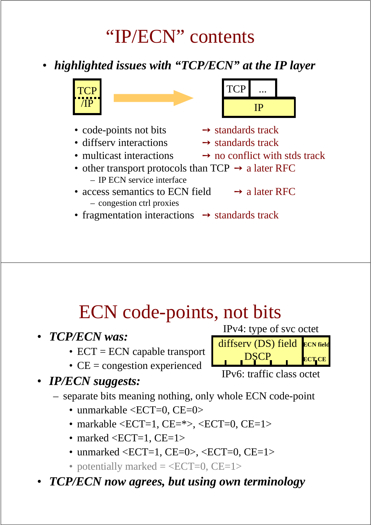"IP/ECN" contents

• *highlighted issues with "TCP/ECN" at the IP layer*



- code-points not bits  $\rightarrow$  standards track
- diffserv interactions  $\rightarrow$  standards track
- 



- access semantics to ECN field  $\rightarrow$  a later RFC – congestion ctrl proxies
- fragmentation interactions  $\rightarrow$  standards track

### ECN code-points, not bits

- *TCP/ECN was:*
	- $ECT = ECN$  capable transport
	- CE = congestion experienced
- *IP/ECN suggests:*
	- separate bits meaning nothing, only whole ECN code-point
		- unmarkable <ECT=0, CE=0>
		- markable < ECT = 1, CE =  $\ge$  < ECT = 0, CE = 1 >
		- marked  $\leq$ ECT=1, CE=1 $>$
		- unmarked  $\leq$ ECT=1, CE=0>,  $\leq$ ECT=0, CE=1>
		- potentially marked  $=$  <ECT=0, CE=1>
- *TCP/ECN now agrees, but using own terminology*



- 
- 
- multicast interactions  $\rightarrow$  no conflict with stds track

- IPv4: type of svc octet diffserv (DS) field ECN field **DSCP ECT CE**
	- IPv6: traffic class octet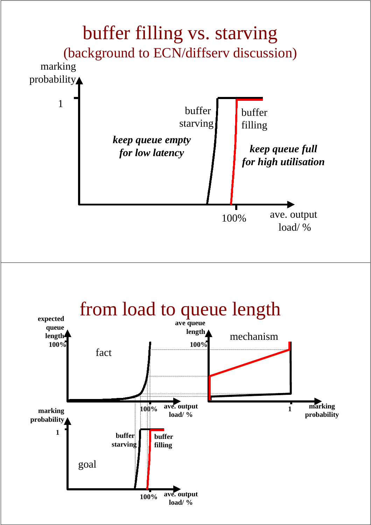

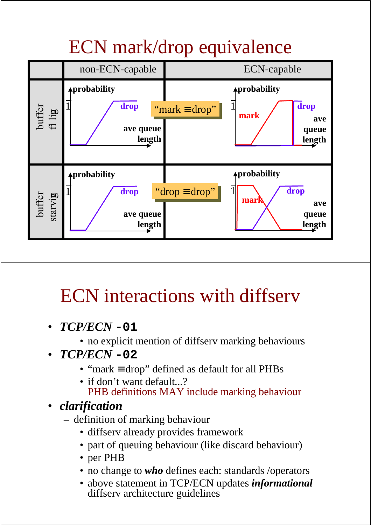# ECN mark/drop equivalence



# ECN interactions with diffserv

- *TCP/ECN* **-01**
	- no explicit mention of diffserv marking behaviours
- *TCP/ECN* **-02**
	- "mark ≡ drop" defined as default for all PHBs
	- if don't want default...? PHB definitions MAY include marking behaviour
- *clarification*
	- definition of marking behaviour
		- diffserv already provides framework
		- part of queuing behaviour (like discard behaviour)
		- per PHB
		- no change to *who* defines each: standards /operators
		- above statement in TCP/ECN updates *informational* diffserv architecture guidelines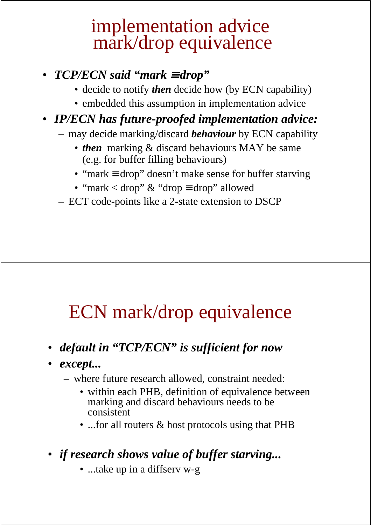### implementation advice mark/drop equivalence

#### • *TCP/ECN said "mark* <sup>≡</sup> *drop"*

- decide to notify *then* decide how (by ECN capability)
- embedded this assumption in implementation advice

#### • *IP/ECN has future-proofed implementation advice:*

- may decide marking/discard *behaviour* by ECN capability
	- *then* marking & discard behaviours MAY be same (e.g. for buffer filling behaviours)
	- "mark ≡ drop" doesn't make sense for buffer starving
	- "mark < drop" & "drop ≡ drop" allowed
- ECT code-points like a 2-state extension to DSCP

### ECN mark/drop equivalence

- *default in "TCP/ECN" is sufficient for now*
- *except...*
	- where future research allowed, constraint needed:
		- within each PHB, definition of equivalence between marking and discard behaviours needs to be consistent
		- ...for all routers & host protocols using that PHB
- *if research shows value of buffer starving...*
	- ...take up in a diffserv w-g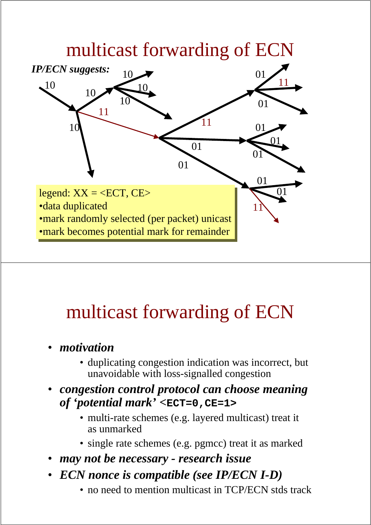

### multicast forwarding of ECN

- *motivation*
	- duplicating congestion indication was incorrect, but unavoidable with loss-signalled congestion
- *congestion control protocol can choose meaning of 'potential mark' <***ECT=0,CE=1>**
	- multi-rate schemes (e.g. layered multicast) treat it as unmarked
	- single rate schemes (e.g. pgmcc) treat it as marked
- *may not be necessary research issue*
- *ECN nonce is compatible (see IP/ECN I-D)*
	- no need to mention multicast in TCP/ECN stds track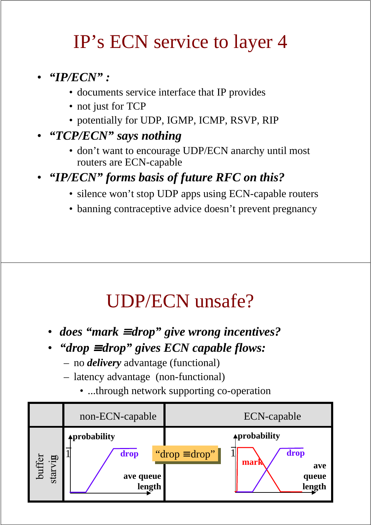### IP's ECN service to layer 4

- *"IP/ECN" :*
	- documents service interface that IP provides
	- not just for TCP
	- potentially for UDP, IGMP, ICMP, RSVP, RIP
- *"TCP/ECN" says nothing*
	- don't want to encourage UDP/ECN anarchy until most routers are ECN-capable
- *"IP/ECN" forms basis of future RFC on this?*
	- silence won't stop UDP apps using ECN-capable routers
	- banning contraceptive advice doesn't prevent pregnancy

### UDP/ECN unsafe?

- *does "mark* <sup>≡</sup> *drop" give wrong incentives?*
- *"drop* <sup>≡</sup> *drop" gives ECN capable flows:*
	- no *delivery* advantage (functional)
	- latency advantage (non-functional)
		- ...through network supporting co-operation

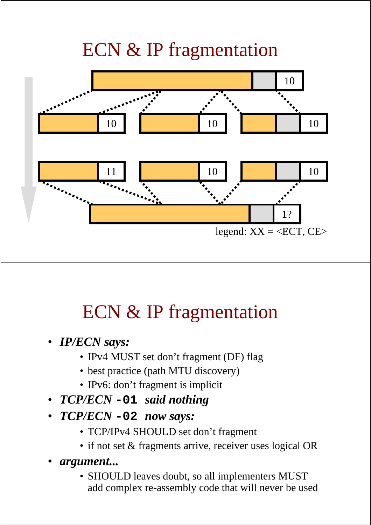## ECN & IP fragmentation



# ECN & IP fragmentation

- *IP/ECN says:*
	- IPv4 MUST set don't fragment (DF) flag
	- best practice (path MTU discovery)
	- IPv6: don't fragment is implicit
- *TCP/ECN* **-01** *said nothing*
- *TCP/ECN* **-02** *now says:*
	- TCP/IPv4 SHOULD set don't fragment
	- if not set & fragments arrive, receiver uses logical OR
- *argument...*
	- SHOULD leaves doubt, so all implementers MUST add complex re-assembly code that will never be used